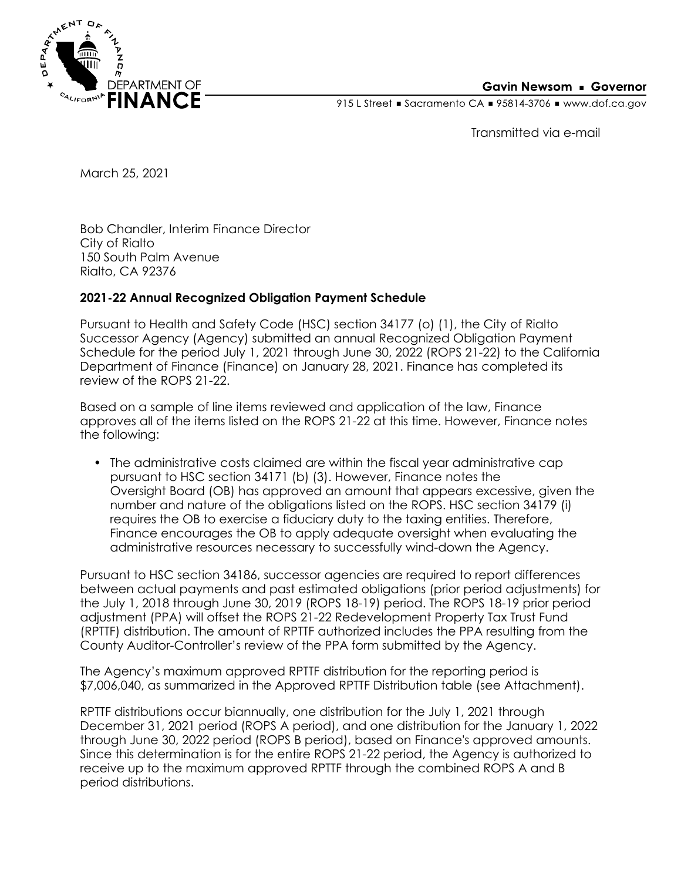

## **Gavin Newsom • Governor**

915 L Street Gacramento CA = 95814-3706 Www.dof.ca.gov

Transmitted via e-mail

March 25, 2021

Bob Chandler, Interim Finance Director City of Rialto 150 South Palm Avenue Rialto, CA 92376

## **2021-22 Annual Recognized Obligation Payment Schedule**

Pursuant to Health and Safety Code (HSC) section 34177 (o) (1), the City of Rialto Successor Agency (Agency) submitted an annual Recognized Obligation Payment Schedule for the period July 1, 2021 through June 30, 2022 (ROPS 21-22) to the California Department of Finance (Finance) on January 28, 2021. Finance has completed its review of the ROPS 21-22.

Based on a sample of line items reviewed and application of the law, Finance approves all of the items listed on the ROPS 21-22 at this time. However, Finance notes the following:

• The administrative costs claimed are within the fiscal year administrative cap pursuant to HSC section 34171 (b) (3). However, Finance notes the Oversight Board (OB) has approved an amount that appears excessive, given the number and nature of the obligations listed on the ROPS. HSC section 34179 (i) requires the OB to exercise a fiduciary duty to the taxing entities. Therefore, Finance encourages the OB to apply adequate oversight when evaluating the administrative resources necessary to successfully wind-down the Agency.

Pursuant to HSC section 34186, successor agencies are required to report differences between actual payments and past estimated obligations (prior period adjustments) for the July 1, 2018 through June 30, 2019 (ROPS 18-19) period. The ROPS 18-19 prior period adjustment (PPA) will offset the ROPS 21-22 Redevelopment Property Tax Trust Fund (RPTTF) distribution. The amount of RPTTF authorized includes the PPA resulting from the County Auditor-Controller's review of the PPA form submitted by the Agency.

The Agency's maximum approved RPTTF distribution for the reporting period is \$7,006,040, as summarized in the Approved RPTTF Distribution table (see Attachment).

RPTTF distributions occur biannually, one distribution for the July 1, 2021 through December 31, 2021 period (ROPS A period), and one distribution for the January 1, 2022 through June 30, 2022 period (ROPS B period), based on Finance's approved amounts. Since this determination is for the entire ROPS 21-22 period, the Agency is authorized to receive up to the maximum approved RPTTF through the combined ROPS A and B period distributions.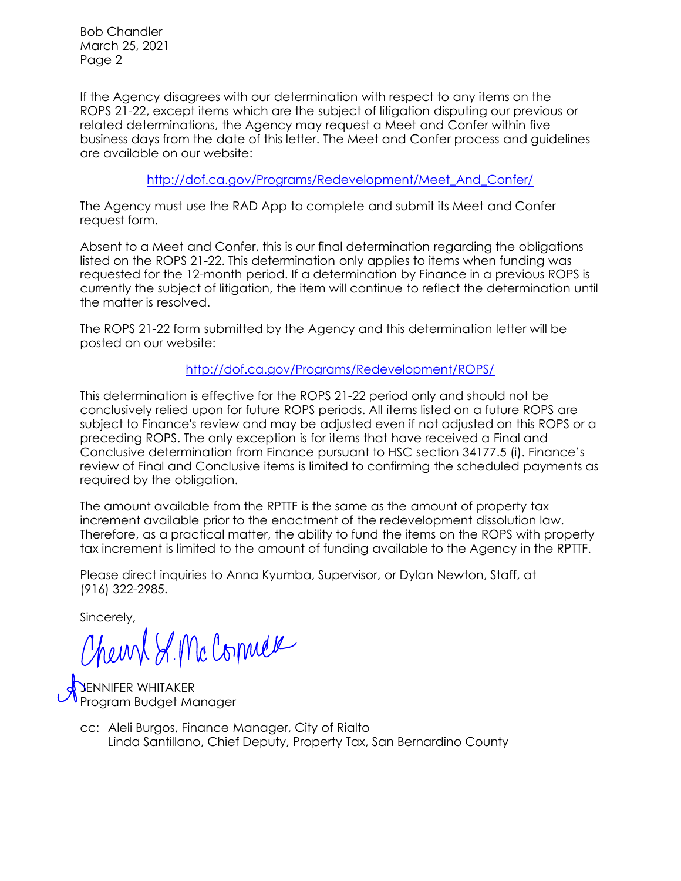Bob Chandler March 25, 2021 Page 2

If the Agency disagrees with our determination with respect to any items on the ROPS 21-22, except items which are the subject of litigation disputing our previous or related determinations, the Agency may request a Meet and Confer within five business days from the date of this letter. The Meet and Confer process and guidelines are available on our website:

[http://dof.ca.gov/Programs/Redevelopment/Meet\\_And\\_Confer/](http://dof.ca.gov/Programs/Redevelopment/Meet_And_Confer/) 

The Agency must use the RAD App to complete and submit its Meet and Confer request form.

Absent to a Meet and Confer, this is our final determination regarding the obligations listed on the ROPS 21-22. This determination only applies to items when funding was requested for the 12-month period. If a determination by Finance in a previous ROPS is currently the subject of litigation, the item will continue to reflect the determination until the matter is resolved.

The ROPS 21-22 form submitted by the Agency and this determination letter will be posted on our website:

<http://dof.ca.gov/Programs/Redevelopment/ROPS/>

This determination is effective for the ROPS 21-22 period only and should not be conclusively relied upon for future ROPS periods. All items listed on a future ROPS are subject to Finance's review and may be adjusted even if not adjusted on this ROPS or a preceding ROPS. The only exception is for items that have received a Final and Conclusive determination from Finance pursuant to HSC section 34177.5 (i). Finance's review of Final and Conclusive items is limited to confirming the scheduled payments as required by the obligation.

The amount available from the RPTTF is the same as the amount of property tax increment available prior to the enactment of the redevelopment dissolution law. Therefore, as a practical matter, the ability to fund the items on the ROPS with property tax increment is limited to the amount of funding available to the Agency in the RPTTF.

Please direct inquiries to Anna Kyumba, Supervisor, or Dylan Newton, Staff, at (916) 322-2985.

Sincerely,

Chemp & Mc Connex

JENNIFER WHITAKER Program Budget Manager

Linda Santillano, Chief Deputy, Property Tax, San Bernardino County cc: Aleli Burgos, Finance Manager, City of Rialto